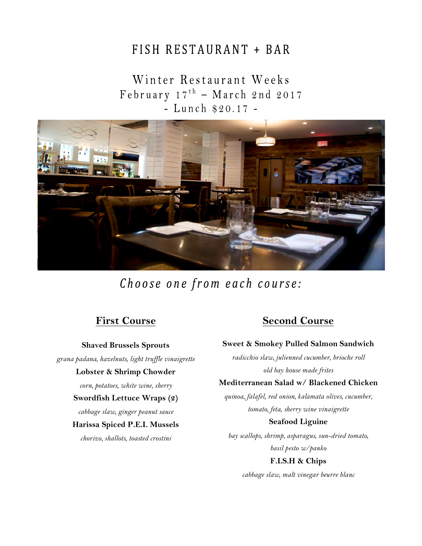# FISH RESTAURANT + BAR

# Winter Restaurant Weeks February  $17^{th}$  – March 2nd 2017 - Lunch \$20.17 -



Choose one from each course:

# **First Course**

**Shaved Brussels Sprouts**

*grana padana, hazelnuts, light truffle vinaigrette*

#### **Lobster & Shrimp Chowder**

*corn, potatoes, white wine, sherry*

### **Swordfish Lettuce Wraps (2)**

*cabbage slaw, ginger peanut sauce*

#### **Harissa Spiced P.E.I. Mussels**

*chorizo, shallots, toasted crostini*

# **Second Course**

### **Sweet & Smokey Pulled Salmon Sandwich**

*radicchio slaw, julienned cucumber, brioche roll old bay house made frites* 

### **Mediterranean Salad w/ Blackened Chicken**

*quinoa, falafel, red onion, kalamata olives, cucumber, tomato, feta, sherry wine vinaigrette* 

## **Seafood Liguine**

*bay scallops, shrimp, asparagus, sun-dried tomato, basil pesto w/panko*

## **F.I.S.H & Chips**

*cabbage slaw, malt vinegar beurre blanc*